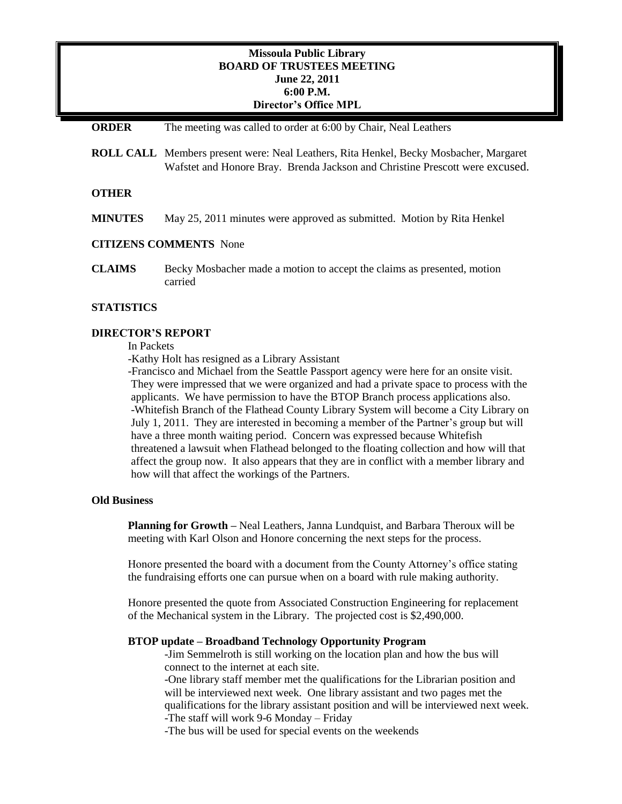# **Missoula Public Library BOARD OF TRUSTEES MEETING June 22, 2011 6:00 P.M. Director's Office MPL**

| <b>ORDER</b>                  | The meeting was called to order at 6:00 by Chair, Neal Leathers                                                                                                              |
|-------------------------------|------------------------------------------------------------------------------------------------------------------------------------------------------------------------------|
|                               | <b>ROLL CALL</b> Members present were: Neal Leathers, Rita Henkel, Becky Mosbacher, Margaret<br>Wafstet and Honore Bray. Brenda Jackson and Christine Prescott were excused. |
| <b>OTHER</b>                  |                                                                                                                                                                              |
| <b>MINUTES</b>                | May 25, 2011 minutes were approved as submitted. Motion by Rita Henkel                                                                                                       |
| <b>CITIZENS COMMENTS</b> None |                                                                                                                                                                              |
| <b>CLAIMS</b>                 | Becky Mosbacher made a motion to accept the claims as presented, motion<br>carried                                                                                           |
| <b>STATISTICS</b>             |                                                                                                                                                                              |

### **DIRECTOR'S REPORT**

In Packets

-Kathy Holt has resigned as a Library Assistant

-Francisco and Michael from the Seattle Passport agency were here for an onsite visit. They were impressed that we were organized and had a private space to process with the applicants. We have permission to have the BTOP Branch process applications also. -Whitefish Branch of the Flathead County Library System will become a City Library on July 1, 2011. They are interested in becoming a member of the Partner's group but will have a three month waiting period. Concern was expressed because Whitefish threatened a lawsuit when Flathead belonged to the floating collection and how will that affect the group now. It also appears that they are in conflict with a member library and how will that affect the workings of the Partners.

# **Old Business**

**Planning for Growth –** Neal Leathers, Janna Lundquist, and Barbara Theroux will be meeting with Karl Olson and Honore concerning the next steps for the process.

Honore presented the board with a document from the County Attorney's office stating the fundraising efforts one can pursue when on a board with rule making authority.

Honore presented the quote from Associated Construction Engineering for replacement of the Mechanical system in the Library. The projected cost is \$2,490,000.

#### **BTOP update – Broadband Technology Opportunity Program**

-Jim Semmelroth is still working on the location plan and how the bus will connect to the internet at each site.

-One library staff member met the qualifications for the Librarian position and will be interviewed next week. One library assistant and two pages met the qualifications for the library assistant position and will be interviewed next week. -The staff will work 9-6 Monday – Friday

-The bus will be used for special events on the weekends